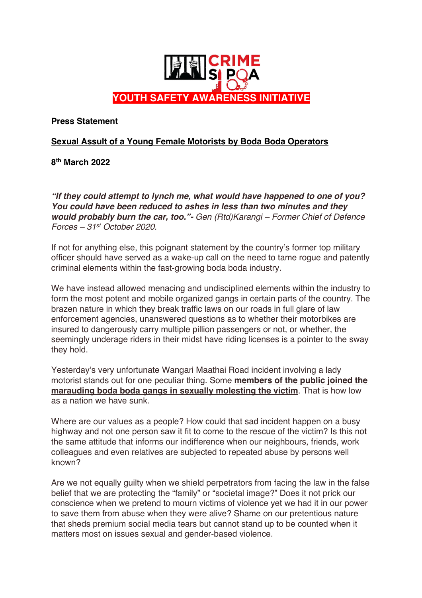

**Press Statement**

## **Sexual Assult of a Young Female Motorists by Boda Boda Operators**

**8th March 2022**

*"If they could attempt to lynch me, what would have happened to one of you? You could have been reduced to ashes in less than two minutes and they would probably burn the car, too."- Gen (Rtd)Karangi – Former Chief of Defence Forces – 31st October 2020.*

If not for anything else, this poignant statement by the country's former top military officer should have served as a wake-up call on the need to tame rogue and patently criminal elements within the fast-growing boda boda industry.

We have instead allowed menacing and undisciplined elements within the industry to form the most potent and mobile organized gangs in certain parts of the country. The brazen nature in which they break traffic laws on our roads in full glare of law enforcement agencies, unanswered questions as to whether their motorbikes are insured to dangerously carry multiple pillion passengers or not, or whether, the seemingly underage riders in their midst have riding licenses is a pointer to the sway they hold.

Yesterday's very unfortunate Wangari Maathai Road incident involving a lady motorist stands out for one peculiar thing. Some **members of the public joined the marauding boda boda gangs in sexually molesting the victim**. That is how low as a nation we have sunk.

Where are our values as a people? How could that sad incident happen on a busy highway and not one person saw it fit to come to the rescue of the victim? Is this not the same attitude that informs our indifference when our neighbours, friends, work colleagues and even relatives are subjected to repeated abuse by persons well known?

Are we not equally guilty when we shield perpetrators from facing the law in the false belief that we are protecting the "family" or "societal image?" Does it not prick our conscience when we pretend to mourn victims of violence yet we had it in our power to save them from abuse when they were alive? Shame on our pretentious nature that sheds premium social media tears but cannot stand up to be counted when it matters most on issues sexual and gender-based violence.